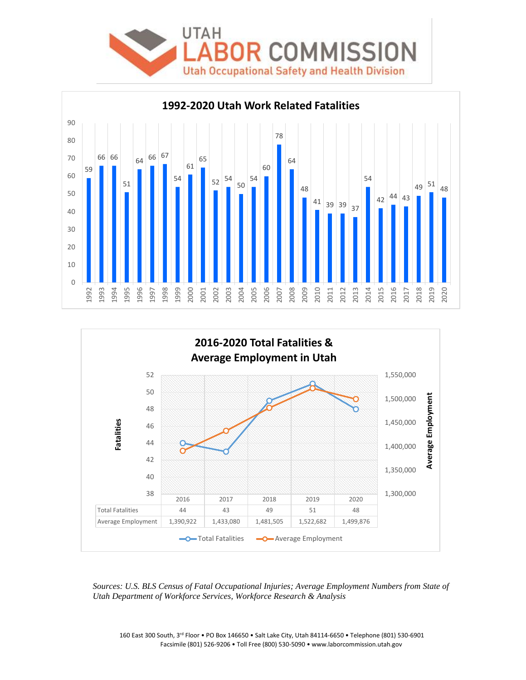





*Sources: U.S. BLS Census of Fatal Occupational Injuries; Average Employment Numbers from State of Utah Department of Workforce Services, Workforce Research & Analysis*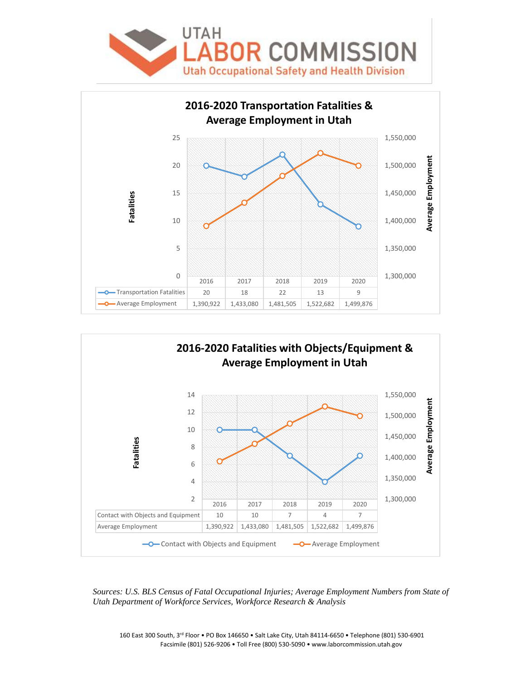





*Sources: U.S. BLS Census of Fatal Occupational Injuries; Average Employment Numbers from State of Utah Department of Workforce Services, Workforce Research & Analysis*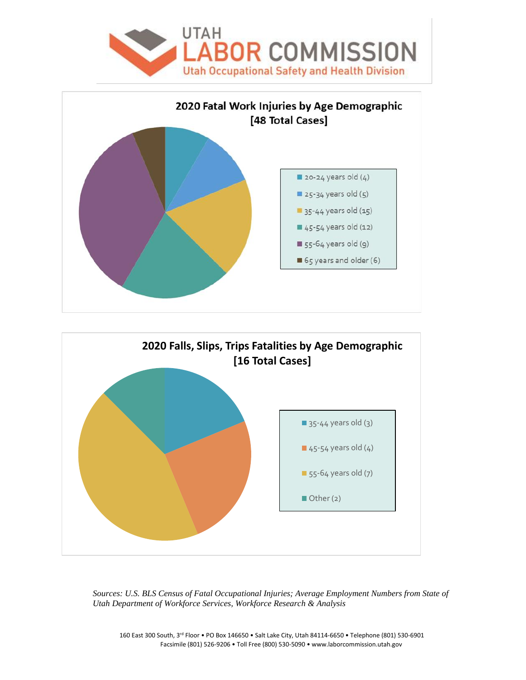